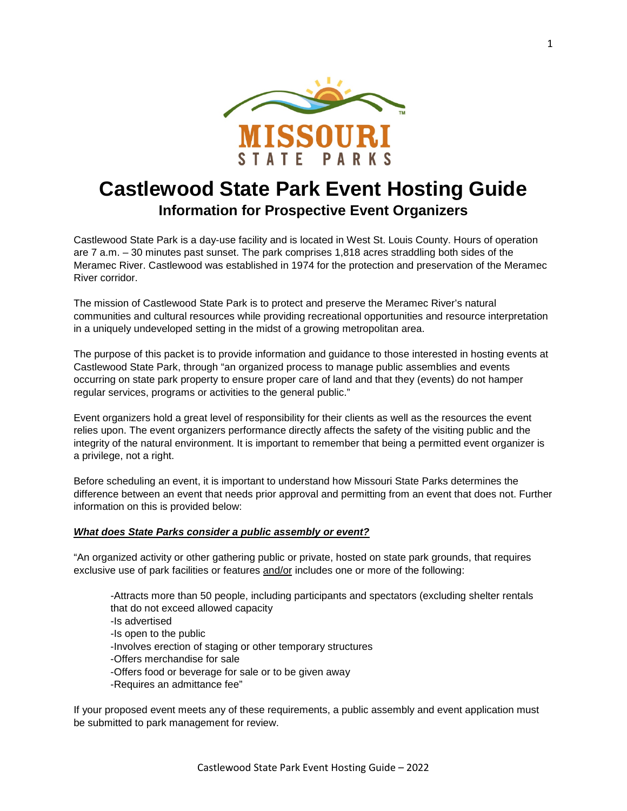

# **Castlewood State Park Event Hosting Guide Information for Prospective Event Organizers**

Castlewood State Park is a day-use facility and is located in West St. Louis County. Hours of operation are 7 a.m. – 30 minutes past sunset. The park comprises 1,818 acres straddling both sides of the Meramec River. Castlewood was established in 1974 for the protection and preservation of the Meramec River corridor.

The mission of Castlewood State Park is to protect and preserve the Meramec River's natural communities and cultural resources while providing recreational opportunities and resource interpretation in a uniquely undeveloped setting in the midst of a growing metropolitan area.

The purpose of this packet is to provide information and guidance to those interested in hosting events at Castlewood State Park, through "an organized process to manage public assemblies and events occurring on state park property to ensure proper care of land and that they (events) do not hamper regular services, programs or activities to the general public."

Event organizers hold a great level of responsibility for their clients as well as the resources the event relies upon. The event organizers performance directly affects the safety of the visiting public and the integrity of the natural environment. It is important to remember that being a permitted event organizer is a privilege, not a right.

Before scheduling an event, it is important to understand how Missouri State Parks determines the difference between an event that needs prior approval and permitting from an event that does not. Further information on this is provided below:

# *What does State Parks consider a public assembly or event?*

"An organized activity or other gathering public or private, hosted on state park grounds, that requires exclusive use of park facilities or features and/or includes one or more of the following:

-Attracts more than 50 people, including participants and spectators (excluding shelter rentals that do not exceed allowed capacity -Is advertised -Is open to the public -Involves erection of staging or other temporary structures -Offers merchandise for sale -Offers food or beverage for sale or to be given away -Requires an admittance fee"

If your proposed event meets any of these requirements, a public assembly and event application must be submitted to park management for review.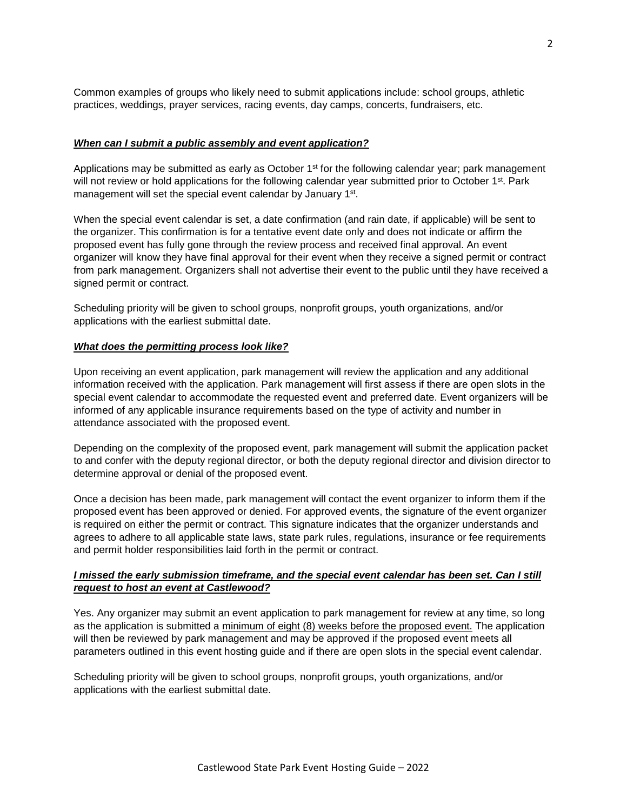Common examples of groups who likely need to submit applications include: school groups, athletic practices, weddings, prayer services, racing events, day camps, concerts, fundraisers, etc.

# *When can I submit a public assembly and event application?*

Applications may be submitted as early as October  $1<sup>st</sup>$  for the following calendar year; park management will not review or hold applications for the following calendar year submitted prior to October 1<sup>st</sup>. Park management will set the special event calendar by January 1<sup>st</sup>.

When the special event calendar is set, a date confirmation (and rain date, if applicable) will be sent to the organizer. This confirmation is for a tentative event date only and does not indicate or affirm the proposed event has fully gone through the review process and received final approval. An event organizer will know they have final approval for their event when they receive a signed permit or contract from park management. Organizers shall not advertise their event to the public until they have received a signed permit or contract.

Scheduling priority will be given to school groups, nonprofit groups, youth organizations, and/or applications with the earliest submittal date.

# *What does the permitting process look like?*

Upon receiving an event application, park management will review the application and any additional information received with the application. Park management will first assess if there are open slots in the special event calendar to accommodate the requested event and preferred date. Event organizers will be informed of any applicable insurance requirements based on the type of activity and number in attendance associated with the proposed event.

Depending on the complexity of the proposed event, park management will submit the application packet to and confer with the deputy regional director, or both the deputy regional director and division director to determine approval or denial of the proposed event.

Once a decision has been made, park management will contact the event organizer to inform them if the proposed event has been approved or denied. For approved events, the signature of the event organizer is required on either the permit or contract. This signature indicates that the organizer understands and agrees to adhere to all applicable state laws, state park rules, regulations, insurance or fee requirements and permit holder responsibilities laid forth in the permit or contract.

# *I missed the early submission timeframe, and the special event calendar has been set. Can I still request to host an event at Castlewood?*

Yes. Any organizer may submit an event application to park management for review at any time, so long as the application is submitted a minimum of eight (8) weeks before the proposed event. The application will then be reviewed by park management and may be approved if the proposed event meets all parameters outlined in this event hosting guide and if there are open slots in the special event calendar.

Scheduling priority will be given to school groups, nonprofit groups, youth organizations, and/or applications with the earliest submittal date.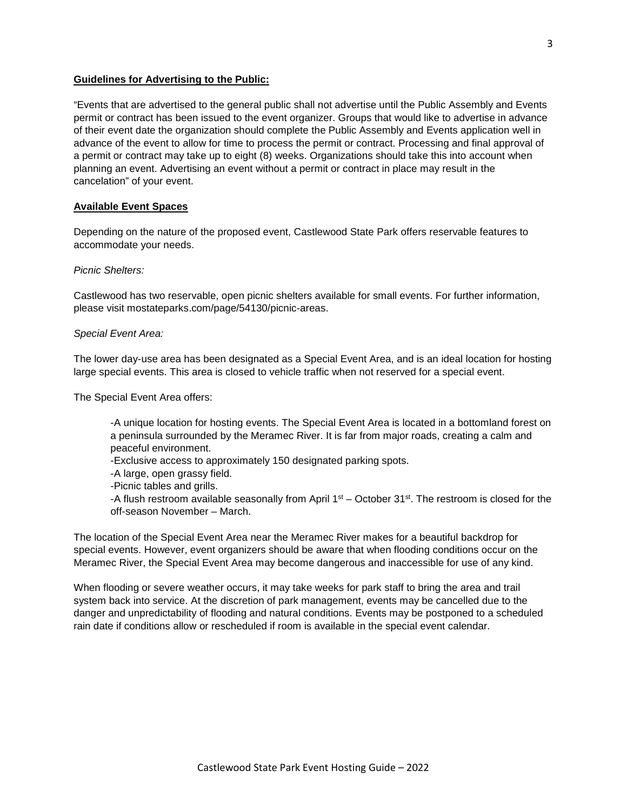#### **Guidelines for Advertising to the Public:**

"Events that are advertised to the general public shall not advertise until the Public Assembly and Events permit or contract has been issued to the event organizer. Groups that would like to advertise in advance of their event date the organization should complete the Public Assembly and Events application well in advance of the event to allow for time to process the permit or contract. Processing and final approval of a permit or contract may take up to eight (8) weeks. Organizations should take this into account when planning an event. Advertising an event without a permit or contract in place may result in the cancelation" of your event.

#### **Available Event Spaces**

Depending on the nature of the proposed event, Castlewood State Park offers reservable features to accommodate your needs.

*Picnic Shelters:*

Castlewood has two reservable, open picnic shelters available for small events. For further information, please visit mostateparks.com/page/54130/picnic-areas.

#### *Special Event Area:*

The lower day-use area has been designated as a Special Event Area, and is an ideal location for hosting large special events. This area is closed to vehicle traffic when not reserved for a special event.

The Special Event Area offers:

-A unique location for hosting events. The Special Event Area is located in a bottomland forest on a peninsula surrounded by the Meramec River. It is far from major roads, creating a calm and peaceful environment.

-Exclusive access to approximately 150 designated parking spots.

-A large, open grassy field.

-Picnic tables and grills.

-A flush restroom available seasonally from April  $1<sup>st</sup>$  – October 31 $<sup>st</sup>$ . The restroom is closed for the</sup> off-season November – March.

The location of the Special Event Area near the Meramec River makes for a beautiful backdrop for special events. However, event organizers should be aware that when flooding conditions occur on the Meramec River, the Special Event Area may become dangerous and inaccessible for use of any kind.

When flooding or severe weather occurs, it may take weeks for park staff to bring the area and trail system back into service. At the discretion of park management, events may be cancelled due to the danger and unpredictability of flooding and natural conditions. Events may be postponed to a scheduled rain date if conditions allow or rescheduled if room is available in the special event calendar.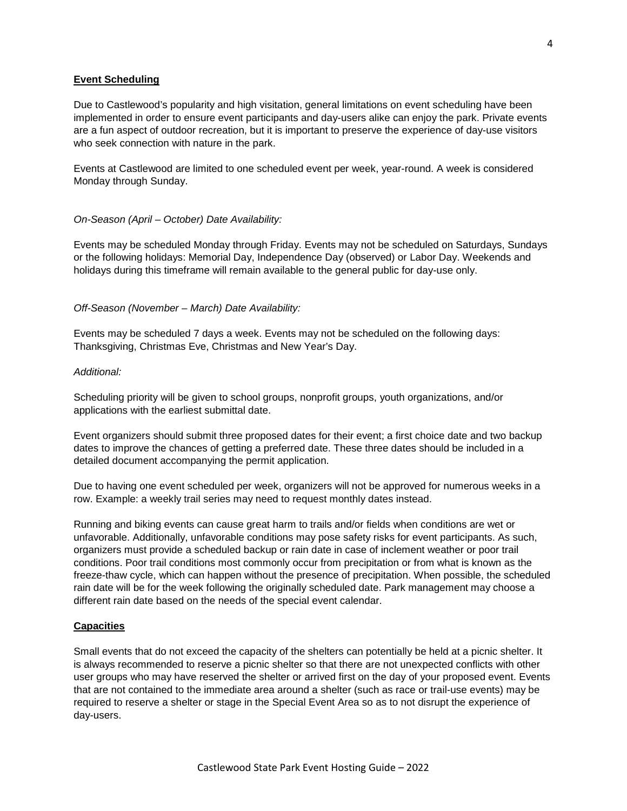### **Event Scheduling**

Due to Castlewood's popularity and high visitation, general limitations on event scheduling have been implemented in order to ensure event participants and day-users alike can enjoy the park. Private events are a fun aspect of outdoor recreation, but it is important to preserve the experience of day-use visitors who seek connection with nature in the park.

Events at Castlewood are limited to one scheduled event per week, year-round. A week is considered Monday through Sunday.

#### *On-Season (April – October) Date Availability:*

Events may be scheduled Monday through Friday. Events may not be scheduled on Saturdays, Sundays or the following holidays: Memorial Day, Independence Day (observed) or Labor Day. Weekends and holidays during this timeframe will remain available to the general public for day-use only.

#### *Off-Season (November – March) Date Availability:*

Events may be scheduled 7 days a week. Events may not be scheduled on the following days: Thanksgiving, Christmas Eve, Christmas and New Year's Day.

# *Additional:*

Scheduling priority will be given to school groups, nonprofit groups, youth organizations, and/or applications with the earliest submittal date.

Event organizers should submit three proposed dates for their event; a first choice date and two backup dates to improve the chances of getting a preferred date. These three dates should be included in a detailed document accompanying the permit application.

Due to having one event scheduled per week, organizers will not be approved for numerous weeks in a row. Example: a weekly trail series may need to request monthly dates instead.

Running and biking events can cause great harm to trails and/or fields when conditions are wet or unfavorable. Additionally, unfavorable conditions may pose safety risks for event participants. As such, organizers must provide a scheduled backup or rain date in case of inclement weather or poor trail conditions. Poor trail conditions most commonly occur from precipitation or from what is known as the freeze-thaw cycle, which can happen without the presence of precipitation. When possible, the scheduled rain date will be for the week following the originally scheduled date. Park management may choose a different rain date based on the needs of the special event calendar.

#### **Capacities**

Small events that do not exceed the capacity of the shelters can potentially be held at a picnic shelter. It is always recommended to reserve a picnic shelter so that there are not unexpected conflicts with other user groups who may have reserved the shelter or arrived first on the day of your proposed event. Events that are not contained to the immediate area around a shelter (such as race or trail-use events) may be required to reserve a shelter or stage in the Special Event Area so as to not disrupt the experience of day-users.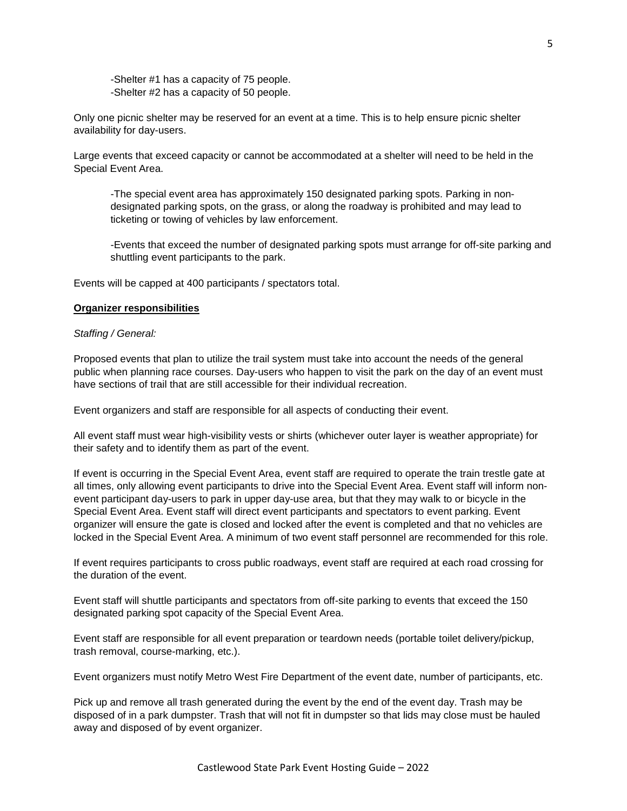-Shelter #1 has a capacity of 75 people. -Shelter #2 has a capacity of 50 people.

Only one picnic shelter may be reserved for an event at a time. This is to help ensure picnic shelter availability for day-users.

Large events that exceed capacity or cannot be accommodated at a shelter will need to be held in the Special Event Area.

-The special event area has approximately 150 designated parking spots. Parking in nondesignated parking spots, on the grass, or along the roadway is prohibited and may lead to ticketing or towing of vehicles by law enforcement.

-Events that exceed the number of designated parking spots must arrange for off-site parking and shuttling event participants to the park.

Events will be capped at 400 participants / spectators total.

#### **Organizer responsibilities**

#### *Staffing / General:*

Proposed events that plan to utilize the trail system must take into account the needs of the general public when planning race courses. Day-users who happen to visit the park on the day of an event must have sections of trail that are still accessible for their individual recreation.

Event organizers and staff are responsible for all aspects of conducting their event.

All event staff must wear high-visibility vests or shirts (whichever outer layer is weather appropriate) for their safety and to identify them as part of the event.

If event is occurring in the Special Event Area, event staff are required to operate the train trestle gate at all times, only allowing event participants to drive into the Special Event Area. Event staff will inform nonevent participant day-users to park in upper day-use area, but that they may walk to or bicycle in the Special Event Area. Event staff will direct event participants and spectators to event parking. Event organizer will ensure the gate is closed and locked after the event is completed and that no vehicles are locked in the Special Event Area. A minimum of two event staff personnel are recommended for this role.

If event requires participants to cross public roadways, event staff are required at each road crossing for the duration of the event.

Event staff will shuttle participants and spectators from off-site parking to events that exceed the 150 designated parking spot capacity of the Special Event Area.

Event staff are responsible for all event preparation or teardown needs (portable toilet delivery/pickup, trash removal, course-marking, etc.).

Event organizers must notify Metro West Fire Department of the event date, number of participants, etc.

Pick up and remove all trash generated during the event by the end of the event day. Trash may be disposed of in a park dumpster. Trash that will not fit in dumpster so that lids may close must be hauled away and disposed of by event organizer.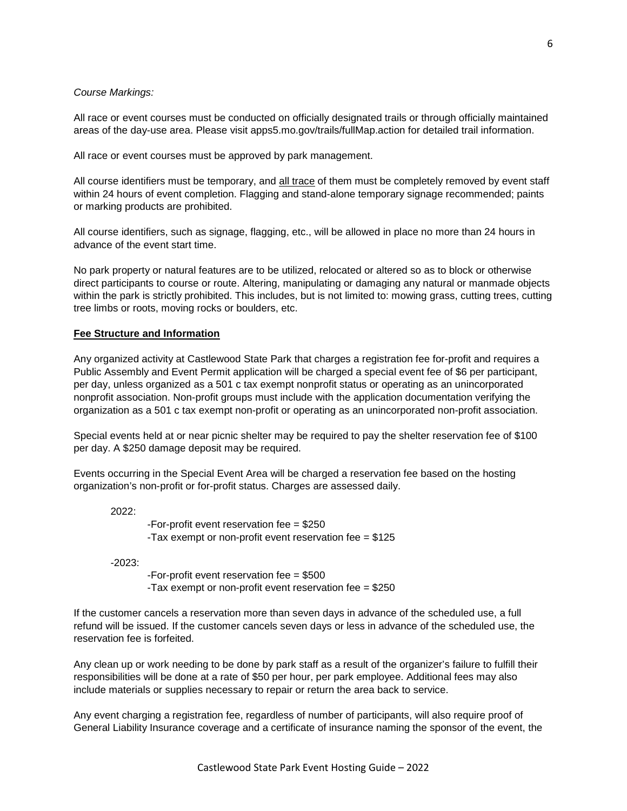#### *Course Markings:*

All race or event courses must be conducted on officially designated trails or through officially maintained areas of the day-use area. Please visit apps5.mo.gov/trails/fullMap.action for detailed trail information.

All race or event courses must be approved by park management.

All course identifiers must be temporary, and all trace of them must be completely removed by event staff within 24 hours of event completion. Flagging and stand-alone temporary signage recommended; paints or marking products are prohibited.

All course identifiers, such as signage, flagging, etc., will be allowed in place no more than 24 hours in advance of the event start time.

No park property or natural features are to be utilized, relocated or altered so as to block or otherwise direct participants to course or route. Altering, manipulating or damaging any natural or manmade objects within the park is strictly prohibited. This includes, but is not limited to: mowing grass, cutting trees, cutting tree limbs or roots, moving rocks or boulders, etc.

### **Fee Structure and Information**

Any organized activity at Castlewood State Park that charges a registration fee for-profit and requires a Public Assembly and Event Permit application will be charged a special event fee of \$6 per participant, per day, unless organized as a 501 c tax exempt nonprofit status or operating as an unincorporated nonprofit association. Non-profit groups must include with the application documentation verifying the organization as a 501 c tax exempt non-profit or operating as an unincorporated non-profit association.

Special events held at or near picnic shelter may be required to pay the shelter reservation fee of \$100 per day. A \$250 damage deposit may be required.

Events occurring in the Special Event Area will be charged a reservation fee based on the hosting organization's non-profit or for-profit status. Charges are assessed daily.

2022:

-For-profit event reservation fee = \$250 -Tax exempt or non-profit event reservation fee = \$125

-2023:

-For-profit event reservation fee = \$500 -Tax exempt or non-profit event reservation fee = \$250

If the customer cancels a reservation more than seven days in advance of the scheduled use, a full refund will be issued. If the customer cancels seven days or less in advance of the scheduled use, the reservation fee is forfeited.

Any clean up or work needing to be done by park staff as a result of the organizer's failure to fulfill their responsibilities will be done at a rate of \$50 per hour, per park employee. Additional fees may also include materials or supplies necessary to repair or return the area back to service.

Any event charging a registration fee, regardless of number of participants, will also require proof of General Liability Insurance coverage and a certificate of insurance naming the sponsor of the event, the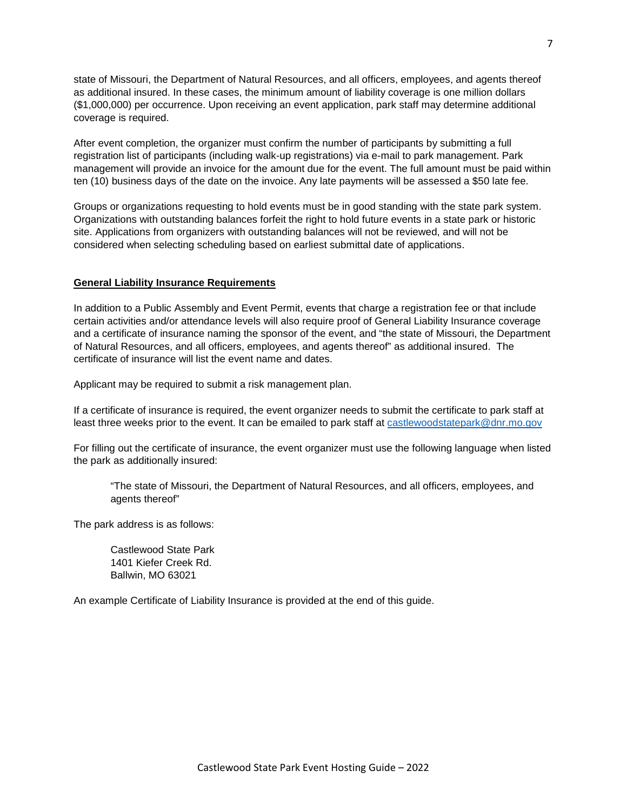state of Missouri, the Department of Natural Resources, and all officers, employees, and agents thereof as additional insured. In these cases, the minimum amount of liability coverage is one million dollars (\$1,000,000) per occurrence. Upon receiving an event application, park staff may determine additional coverage is required.

After event completion, the organizer must confirm the number of participants by submitting a full registration list of participants (including walk-up registrations) via e-mail to park management. Park management will provide an invoice for the amount due for the event. The full amount must be paid within ten (10) business days of the date on the invoice. Any late payments will be assessed a \$50 late fee.

Groups or organizations requesting to hold events must be in good standing with the state park system. Organizations with outstanding balances forfeit the right to hold future events in a state park or historic site. Applications from organizers with outstanding balances will not be reviewed, and will not be considered when selecting scheduling based on earliest submittal date of applications.

# **General Liability Insurance Requirements**

In addition to a Public Assembly and Event Permit, events that charge a registration fee or that include certain activities and/or attendance levels will also require proof of General Liability Insurance coverage and a certificate of insurance naming the sponsor of the event, and "the state of Missouri, the Department of Natural Resources, and all officers, employees, and agents thereof" as additional insured. The certificate of insurance will list the event name and dates.

Applicant may be required to submit a risk management plan.

If a certificate of insurance is required, the event organizer needs to submit the certificate to park staff at least three weeks prior to the event. It can be emailed to park staff at [castlewoodstatepark@dnr.mo.gov](mailto:castlewoodstatepark@dnr.mo.gov)

For filling out the certificate of insurance, the event organizer must use the following language when listed the park as additionally insured:

"The state of Missouri, the Department of Natural Resources, and all officers, employees, and agents thereof"

The park address is as follows:

Castlewood State Park 1401 Kiefer Creek Rd. Ballwin, MO 63021

An example Certificate of Liability Insurance is provided at the end of this guide.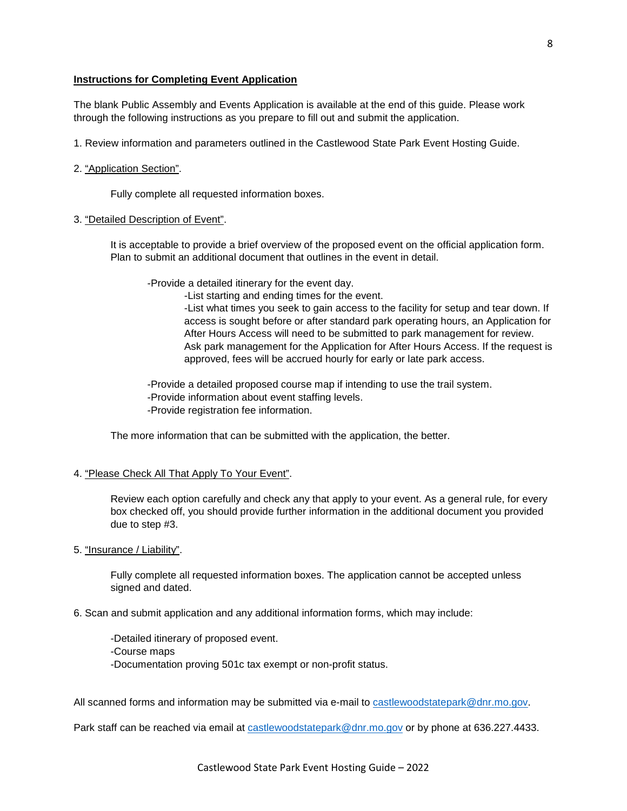# **Instructions for Completing Event Application**

The blank Public Assembly and Events Application is available at the end of this guide. Please work through the following instructions as you prepare to fill out and submit the application.

1. Review information and parameters outlined in the Castlewood State Park Event Hosting Guide.

#### 2. "Application Section".

Fully complete all requested information boxes.

#### 3. "Detailed Description of Event".

It is acceptable to provide a brief overview of the proposed event on the official application form. Plan to submit an additional document that outlines in the event in detail.

-Provide a detailed itinerary for the event day.

-List starting and ending times for the event.

-List what times you seek to gain access to the facility for setup and tear down. If access is sought before or after standard park operating hours, an Application for After Hours Access will need to be submitted to park management for review. Ask park management for the Application for After Hours Access. If the request is approved, fees will be accrued hourly for early or late park access.

-Provide a detailed proposed course map if intending to use the trail system. -Provide information about event staffing levels. -Provide registration fee information.

The more information that can be submitted with the application, the better.

# 4. "Please Check All That Apply To Your Event".

Review each option carefully and check any that apply to your event. As a general rule, for every box checked off, you should provide further information in the additional document you provided due to step #3.

# 5. "Insurance / Liability".

Fully complete all requested information boxes. The application cannot be accepted unless signed and dated.

6. Scan and submit application and any additional information forms, which may include:

-Detailed itinerary of proposed event. -Course maps -Documentation proving 501c tax exempt or non-profit status.

All scanned forms and information may be submitted via e-mail to [castlewoodstatepark@dnr.mo.gov.](mailto:castlewoodstatepark@dnr.mo.gov)

Park staff can be reached via email at [castlewoodstatepark@dnr.mo.gov](mailto:castlewoodstatepark@dnr.mo.gov) or by phone at 636.227.4433.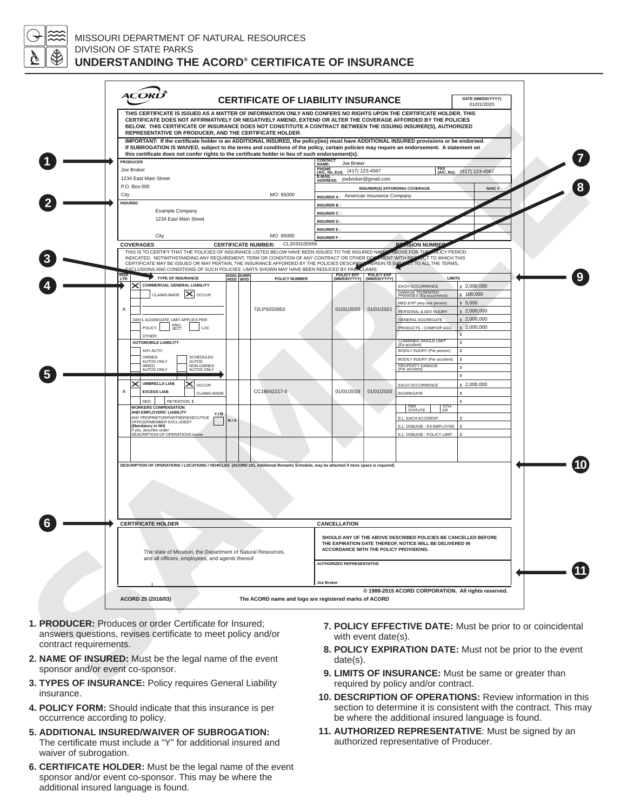

# MISSOURI DEPARTMENT OF NATURAL RESOURCES DIVISION OF STATE PARKS **UNDERSTANDING THE ACORD® CERTIFICATE OF INSURANCE**

|                                  | <b>ACOR</b>                                                                                                                                                                | <b>CERTIFICATE OF LIABILITY INSURANCE</b><br>THIS CERTIFICATE IS ISSUED AS A MATTER OF INFORMATION ONLY AND CONFERS NO RIGHTS UPON THE CERTIFICATE HOLDER. THIS<br>CERTIFICATE DOES NOT AFFIRMATIVELY OR NEGATIVELY AMEND, EXTEND OR ALTER THE COVERAGE AFFORDED BY THE POLICIES<br>BELOW. THIS CERTIFICATE OF INSURANCE DOES NOT CONSTITUTE A CONTRACT BETWEEN THE ISSUING INSURER(S), AUTHORIZED |                                                                                                                                                                                                          | DATE (MM/DD/YYYY)<br>01/01/2020                                                                                                                                                                                  |  |  |
|----------------------------------|----------------------------------------------------------------------------------------------------------------------------------------------------------------------------|----------------------------------------------------------------------------------------------------------------------------------------------------------------------------------------------------------------------------------------------------------------------------------------------------------------------------------------------------------------------------------------------------|----------------------------------------------------------------------------------------------------------------------------------------------------------------------------------------------------------|------------------------------------------------------------------------------------------------------------------------------------------------------------------------------------------------------------------|--|--|
|                                  |                                                                                                                                                                            | REPRESENTATIVE OR PRODUCER. AND THE CERTIFICATE HOLDER.<br>IMPORTANT: If the certificate holder is an ADDITIONAL INSURED, the policy(ies) must have ADDITIONAL INSURED provisions or be endorsed.<br>If SUBROGATION IS WAIVED, subject to the terms and conditions of the policy, certain policies may require an endorsement. A statement on                                                      |                                                                                                                                                                                                          |                                                                                                                                                                                                                  |  |  |
|                                  | <b>PRODUCER</b><br>Joe Broker                                                                                                                                              | this certificate does not confer rights to the certificate holder in lieu of such endorsement(s).                                                                                                                                                                                                                                                                                                  | <b>CONTACT<br/>NAME:</b><br>Joe Broker<br>PHONE (A/C, No, Ext): (417) 123-4567                                                                                                                           |                                                                                                                                                                                                                  |  |  |
|                                  | 1234 East Main Street<br>P.O. Box 000                                                                                                                                      |                                                                                                                                                                                                                                                                                                                                                                                                    | E-MAIL<br>ADDRESS: joebroker@gmail.com<br><b>INSURER(S) AFFORDING COVERAGE</b>                                                                                                                           |                                                                                                                                                                                                                  |  |  |
|                                  | City<br><b>INSURED</b><br>Example Company                                                                                                                                  | MO 65000                                                                                                                                                                                                                                                                                                                                                                                           | <b>INSURER A:</b> American Insurance Company<br><b>INSURER B:</b><br><b>INSURER C:</b>                                                                                                                   |                                                                                                                                                                                                                  |  |  |
|                                  | 1234 East Main Street<br>City                                                                                                                                              | MO 65000                                                                                                                                                                                                                                                                                                                                                                                           | <b>INSURER D:</b><br><b>INSURER E:</b>                                                                                                                                                                   |                                                                                                                                                                                                                  |  |  |
|                                  | <b>COVERAGES</b>                                                                                                                                                           | CL2033105556<br><b>CERTIFICATE NUMBER:</b><br>THIS IS TO CERTIFY THAT THE POLICIES OF INSURANCE LISTED BELOW HAVE BEEN ISSUED TO THE INSURED NAME<br>INDICATED. NOTWITHSTANDING ANY REQUIREMENT, TERM OR CONDITION OF ANY CONTRACT OR OTHER DO                                                                                                                                                     | <b>INSURER F:</b>                                                                                                                                                                                        | <b>ASION NUMBER</b><br><b>ABOVE FOR THE LOLICY PERIOD</b><br><b>MENT WITH REPLACT TO WHICH THIS</b>                                                                                                              |  |  |
|                                  | <b>INSR</b><br>LTR<br><b>TYPE OF INSURANCE</b>                                                                                                                             | CERTIFICATE MAY BE ISSUED OR MAY PERTAIN, THE INSURANCE AFFORDED BY THE POLICIES DESCRIBE<br>EXCLUSIONS AND CONDITIONS OF SUCH POLICIES. LIMITS SHOWN MAY HAVE BEEN REDUCED BY PAID CLAIMS<br>ADDL SUBR<br>INSD WVD<br>POLICY NUMBER                                                                                                                                                               | <b>TEREIN IS SUB-</b><br>POLICY EFF POLICY EXP<br>(MM/DD/YYYY) (MM/DD/YYYY)                                                                                                                              | <b>CT TO ALL THE TERMS.</b><br><b>LIMITS</b>                                                                                                                                                                     |  |  |
|                                  | COMMERCIAL GENERAL LIABILITY<br>×<br>CLAIMS-MADE   X   OCCUR<br>Α<br>GEN'L AGGREGATE LIMIT APPLIES PER:                                                                    | 72LPS033950                                                                                                                                                                                                                                                                                                                                                                                        | 01/01/2020<br>01/01/2021                                                                                                                                                                                 | EACH OCCURRENCE<br>\$2,000,000<br>DAMAGE TO RENTED<br>PREMISES (Ea occurrence)<br>$s$ 100,000<br>\$5,000<br>MED EXP (Any one person)<br>PERSONAL & ADV INJURY<br>\$2,000,000<br>\$2,000,000<br>GENERAL AGGREGATE |  |  |
|                                  | PRO-<br>JECT<br>POLICY<br>LOC<br>OTHER:<br><b>AUTOMOBILE LIABILITY</b><br>ANY AUTO<br>OWNED<br>SCHEDULED                                                                   |                                                                                                                                                                                                                                                                                                                                                                                                    |                                                                                                                                                                                                          | \$2,000,000<br>PRODUCTS - COMP/OP AGG<br>s<br><b>COMBINED SINGLE LIMIT</b><br>s<br>(Ea accident)<br>BODILY INJURY (Per person)<br>s<br>BODILY INJURY (Per accident)                                              |  |  |
|                                  | AUTOS ONLY<br>AUTOS<br>NON-OWNED<br><b>HIRFD</b><br>AUTOS ONLY<br><b>AUTOS ONLY</b><br><b>UMBRELLA LIAB</b><br>$\mathsf{x}$ occur<br><b>EXCESS LIAB</b><br>A               | CC18042217-0<br>CLAIMS-MADE                                                                                                                                                                                                                                                                                                                                                                        | 01/01/2019<br>01/01/2020                                                                                                                                                                                 | s<br>PROPERTY DAMAGE<br>\$.<br>(Per accident)<br>s<br>EACH OCCURRENCE<br>\$2,000,000<br>AGGREGATE<br>s                                                                                                           |  |  |
|                                  | DED<br><b>RETENTION \$</b><br><b>WORKERS COMPENSATION</b><br>AND EMPLOYERS' LIABILITY<br>ANY PROPRIETOR/PARTNER/EXECUTIVE<br>OFFICER/MEMBER EXCLUDED?<br>(Mandatory in NH) | Y/N<br>N/A                                                                                                                                                                                                                                                                                                                                                                                         |                                                                                                                                                                                                          | Ś<br>OTH-<br>ER<br>PER<br>STATUTE<br>E.L. EACH ACCIDENT<br>E.L. DISEASE - EA EMPLOYEE                                                                                                                            |  |  |
|                                  | If yes, describe under<br>DESCRIPTION OF OPERATIONS below                                                                                                                  | DESCRIPTION OF OPERATIONS / LOCATIONS / VEHICLES (ACORD 101, Additional Remarks Schedule, may be attached if more space is required)                                                                                                                                                                                                                                                               |                                                                                                                                                                                                          | E.L. DISEASE - POLICY LIMIT                                                                                                                                                                                      |  |  |
|                                  |                                                                                                                                                                            |                                                                                                                                                                                                                                                                                                                                                                                                    |                                                                                                                                                                                                          |                                                                                                                                                                                                                  |  |  |
|                                  | <b>CERTIFICATE HOLDER</b>                                                                                                                                                  |                                                                                                                                                                                                                                                                                                                                                                                                    | <b>CANCELLATION</b>                                                                                                                                                                                      |                                                                                                                                                                                                                  |  |  |
|                                  | and all officers, employees, and agents thereof                                                                                                                            | The state of Missouri, the Department of Natural Resources,                                                                                                                                                                                                                                                                                                                                        | SHOULD ANY OF THE ABOVE DESCRIBED POLICIES BE CANCELLED BEFORE<br>THE EXPIRATION DATE THEREOF, NOTICE WILL BE DELIVERED IN<br>ACCORDANCE WITH THE POLICY PROVISIONS.<br><b>AUTHORIZED REPRESENTATIVE</b> |                                                                                                                                                                                                                  |  |  |
|                                  | ACORD 25 (2016/03)                                                                                                                                                         |                                                                                                                                                                                                                                                                                                                                                                                                    | Joe Broker<br>@ 1988-2015 ACORD CORPORATION. All rights reserved.<br>The ACORD name and logo are registered marks of ACORD                                                                               |                                                                                                                                                                                                                  |  |  |
| contract requirements.           | 1. PRODUCER: Produces or order Certificate for Insured;<br>answers questions, revises certificate to meet policy and/or                                                    |                                                                                                                                                                                                                                                                                                                                                                                                    | with event date(s).                                                                                                                                                                                      | 7. POLICY EFFECTIVE DATE: Must be prior to or coincidental<br>8. POLICY EXPIRATION DATE: Must not be prior to the event                                                                                          |  |  |
| sponsor and/or event co-sponsor. | 2. NAME OF INSURED: Must be the legal name of the event                                                                                                                    |                                                                                                                                                                                                                                                                                                                                                                                                    | date(s).                                                                                                                                                                                                 | 9. LIMITS OF INSURANCE: Must be same or greater than                                                                                                                                                             |  |  |
|                                  | 3. TYPES OF INSURANCE: Policy requires General Liability                                                                                                                   |                                                                                                                                                                                                                                                                                                                                                                                                    |                                                                                                                                                                                                          | required by policy and/or contract.                                                                                                                                                                              |  |  |

- **1. PRODUCER:** Produces or order Certificate for Insured; answers questions, revises certificate to meet policy and/or contract requirements.
- **2. NAME OF INSURED:** Must be the legal name of the event sponsor and/or event co-sponsor.
- **3. TYPES OF INSURANCE:** Policy requires General Liability insurance.
- **4. POLICY FORM:** Should indicate that this insurance is per occurrence according to policy.
- **5. ADDITIONAL INSURED/WAIVER OF SUBROGATION:** The certificate must include a "Y" for additional insured and waiver of subrogation.
- **6. CERTIFICATE HOLDER:** Must be the legal name of the event sponsor and/or event co-sponsor. This may be where the additional insured language is found.
- **7. POLICY EFFECTIVE DATE:** Must be prior to or coincidental with event date(s).
- **8. POLICY EXPIRATION DATE:** Must not be prior to the event date(s).
- **9. LIMITS OF INSURANCE:** Must be same or greater than required by policy and/or contract.
- **10. DESCRIPTION OF OPERATIONS:** Review information in this section to determine it is consistent with the contract. This may be where the additional insured language is found.
- **11. AUTHORIZED REPRESENTATIVE**: Must be signed by an authorized representative of Producer.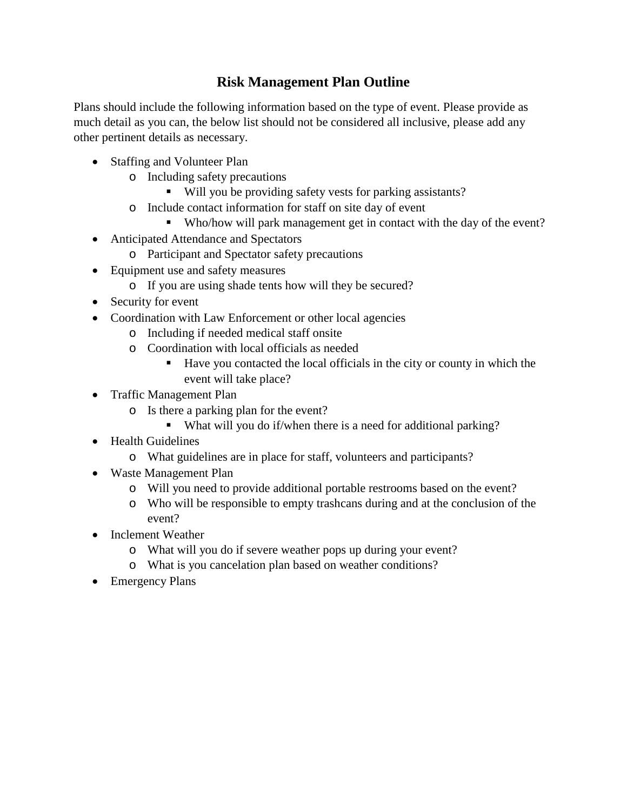# **Risk Management Plan Outline**

Plans should include the following information based on the type of event. Please provide as much detail as you can, the below list should not be considered all inclusive, please add any other pertinent details as necessary.

- Staffing and Volunteer Plan
	- o Including safety precautions
		- Will you be providing safety vests for parking assistants?
	- o Include contact information for staff on site day of event
		- Who/how will park management get in contact with the day of the event?
- Anticipated Attendance and Spectators
	- o Participant and Spectator safety precautions
- Equipment use and safety measures
	- o If you are using shade tents how will they be secured?
- Security for event
- Coordination with Law Enforcement or other local agencies
	- o Including if needed medical staff onsite
	- o Coordination with local officials as needed
		- Have you contacted the local officials in the city or county in which the event will take place?
- Traffic Management Plan
	- o Is there a parking plan for the event?
		- What will you do if/when there is a need for additional parking?
- Health Guidelines
	- o What guidelines are in place for staff, volunteers and participants?
- Waste Management Plan
	- o Will you need to provide additional portable restrooms based on the event?
	- o Who will be responsible to empty trashcans during and at the conclusion of the event?
- Inclement Weather
	- o What will you do if severe weather pops up during your event?
	- o What is you cancelation plan based on weather conditions?
- Emergency Plans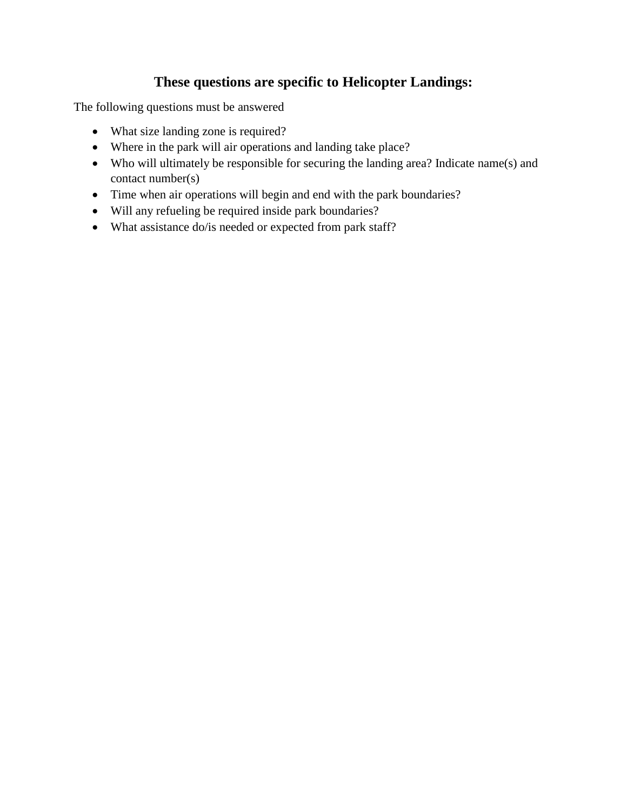# **These questions are specific to Helicopter Landings:**

The following questions must be answered

- What size landing zone is required?
- Where in the park will air operations and landing take place?
- Who will ultimately be responsible for securing the landing area? Indicate name(s) and contact number(s)
- Time when air operations will begin and end with the park boundaries?
- Will any refueling be required inside park boundaries?
- What assistance do/is needed or expected from park staff?